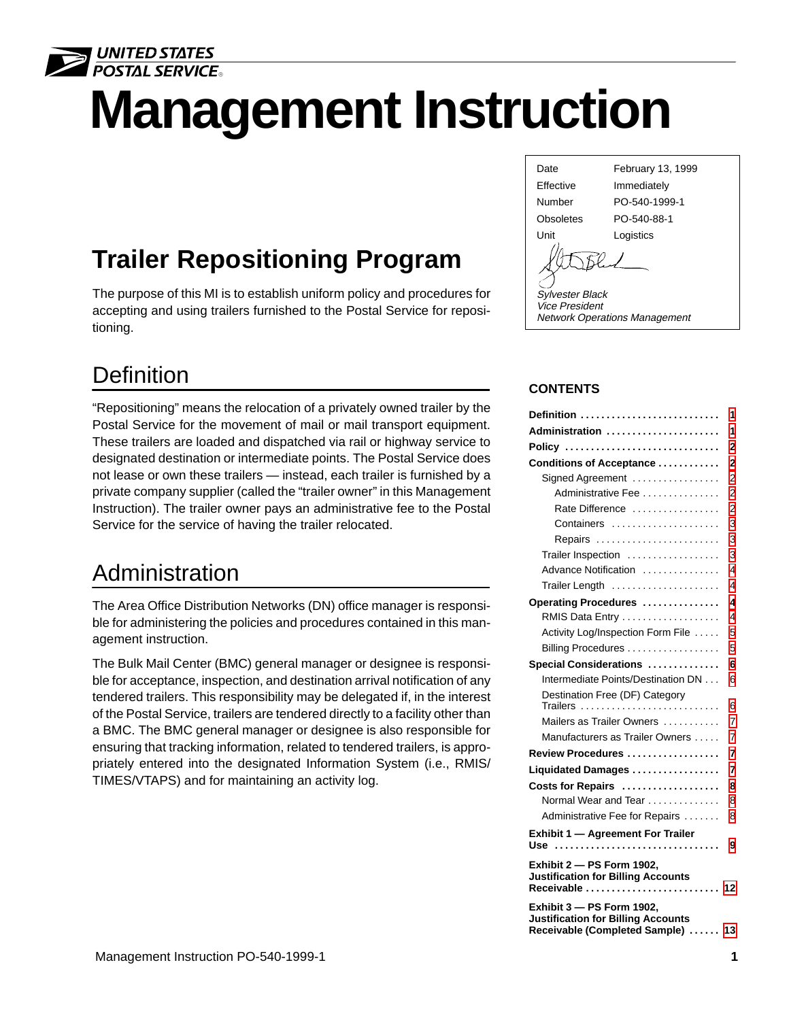

# **Management Instruction**

## **Trailer Repositioning Program**

The purpose of this MI is to establish uniform policy and procedures for accepting and using trailers furnished to the Postal Service for repositioning.

### **Definition**

"Repositioning" means the relocation of a privately owned trailer by the Postal Service for the movement of mail or mail transport equipment. These trailers are loaded and dispatched via rail or highway service to designated destination or intermediate points. The Postal Service does not lease or own these trailers — instead, each trailer is furnished by a private company supplier (called the "trailer owner" in this Management Instruction). The trailer owner pays an administrative fee to the Postal Service for the service of having the trailer relocated.

### Administration

The Area Office Distribution Networks (DN) office manager is responsible for administering the policies and procedures contained in this management instruction.

The Bulk Mail Center (BMC) general manager or designee is responsible for acceptance, inspection, and destination arrival notification of any tendered trailers. This responsibility may be delegated if, in the interest of the Postal Service, trailers are tendered directly to a facility other than a BMC. The BMC general manager or designee is also responsible for ensuring that tracking information, related to tendered trailers, is appropriately entered into the designated Information System (i.e., RMIS/ TIMES/VTAPS) and for maintaining an activity log.

Date February 13, 1999 Effective Immediately Number PO-540-1999-1 Obsoletes PO-540-88-1



Sylvester Black Vice President Network Operations Management

#### **CONTENTS**

| Definition                                                                                              | 1              |
|---------------------------------------------------------------------------------------------------------|----------------|
| Administration                                                                                          | 1              |
| Policy                                                                                                  | 2              |
| Conditions of Acceptance                                                                                | 2              |
| Signed Agreement                                                                                        | $\overline{2}$ |
| Administrative Fee                                                                                      | $\overline{c}$ |
| Rate Difference                                                                                         | $\overline{2}$ |
| Containers                                                                                              | 3              |
| Repairs                                                                                                 | 3              |
| Trailer Inspection                                                                                      | 3              |
| Advance Notification                                                                                    | 4              |
| Trailer Length                                                                                          | 4              |
| Operating Procedures                                                                                    | 4              |
| RMIS Data Entry                                                                                         | 4              |
| Activity Log/Inspection Form File                                                                       | 5              |
| Billing Procedures                                                                                      | 5              |
| Special Considerations                                                                                  | 6              |
| Intermediate Points/Destination DN                                                                      | 6              |
| Destination Free (DF) Category<br>Trailers                                                              | 6              |
| Mailers as Trailer Owners                                                                               | 7              |
| Manufacturers as Trailer Owners                                                                         | 7              |
| Review Procedures                                                                                       | 7              |
| Liquidated Damages                                                                                      | 7              |
| Costs for Repairs                                                                                       | 8              |
| Normal Wear and Tear                                                                                    | 8              |
| Administrative Fee for Repairs                                                                          | 8              |
| <b>Exhibit 1 - Agreement For Trailer</b>                                                                |                |
| Use                                                                                                     | 9              |
| Exhibit 2 - PS Form 1902.<br><b>Justification for Billing Accounts</b><br>Receivable                    | 12             |
| Exhibit 3 - PS Form 1902.<br><b>Justification for Billing Accounts</b><br>Receivable (Completed Sample) | 13             |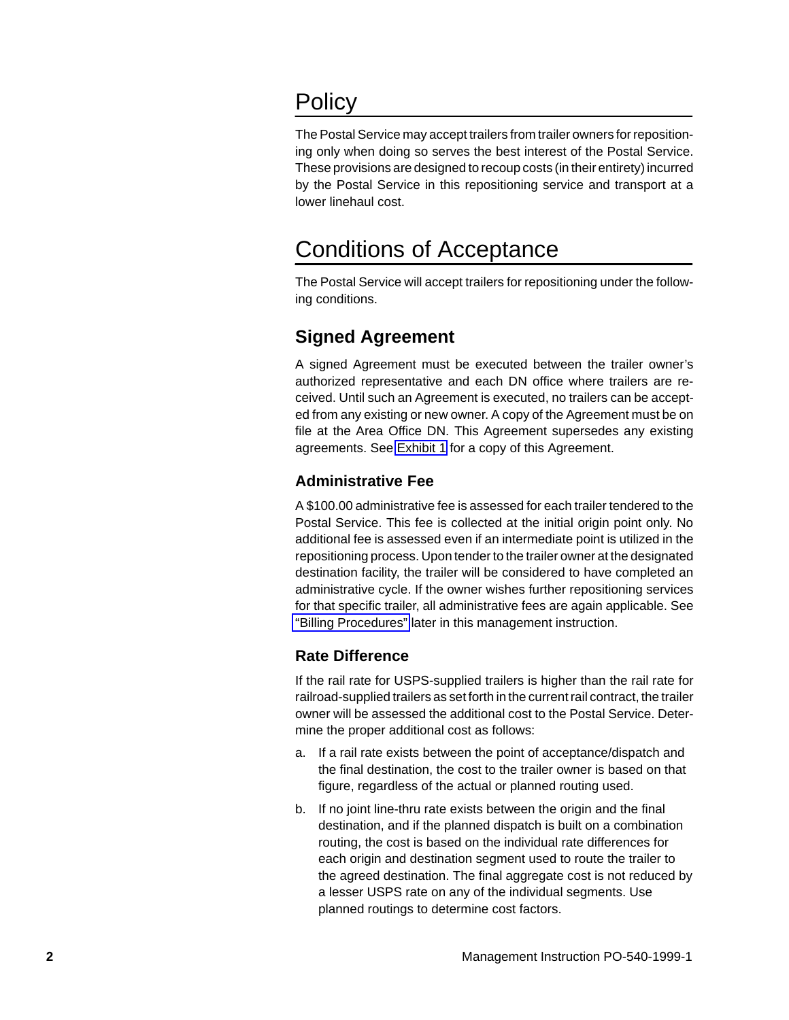### <span id="page-1-0"></span>**Policy**

The Postal Service may accept trailers from trailer owners for repositioning only when doing so serves the best interest of the Postal Service. These provisions are designed to recoup costs (in their entirety) incurred by the Postal Service in this repositioning service and transport at a lower linehaul cost.

### Conditions of Acceptance

The Postal Service will accept trailers for repositioning under the following conditions.

### **Signed Agreement**

A signed Agreement must be executed between the trailer owner's authorized representative and each DN office where trailers are received. Until such an Agreement is executed, no trailers can be accepted from any existing or new owner. A copy of the Agreement must be on file at the Area Office DN. This Agreement supersedes any existing agreements. See [Exhibit 1](#page-8-0) for a copy of this Agreement.

### **Administrative Fee**

A \$100.00 administrative fee is assessed for each trailer tendered to the Postal Service. This fee is collected at the initial origin point only. No additional fee is assessed even if an intermediate point is utilized in the repositioning process. Upon tender to the trailer owner at the designated destination facility, the trailer will be considered to have completed an administrative cycle. If the owner wishes further repositioning services for that specific trailer, all administrative fees are again applicable. See ["Billing Procedures"](#page-4-0) later in this management instruction.

#### **Rate Difference**

If the rail rate for USPS-supplied trailers is higher than the rail rate for railroad-supplied trailers as set forth in the current rail contract, the trailer owner will be assessed the additional cost to the Postal Service. Determine the proper additional cost as follows:

- a. If a rail rate exists between the point of acceptance/dispatch and the final destination, the cost to the trailer owner is based on that figure, regardless of the actual or planned routing used.
- b. If no joint line-thru rate exists between the origin and the final destination, and if the planned dispatch is built on a combination routing, the cost is based on the individual rate differences for each origin and destination segment used to route the trailer to the agreed destination. The final aggregate cost is not reduced by a lesser USPS rate on any of the individual segments. Use planned routings to determine cost factors.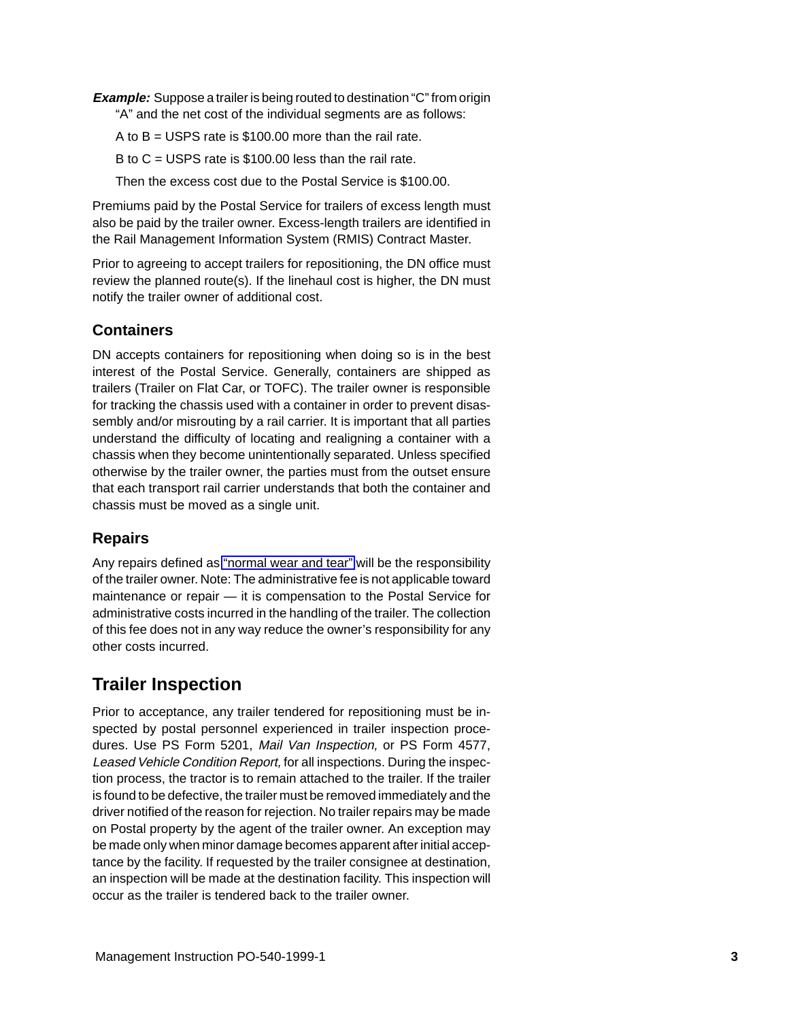<span id="page-2-0"></span>**Example:** Suppose a trailer is being routed to destination "C" from origin

"A" and the net cost of the individual segments are as follows:

A to  $B = USPS$  rate is \$100.00 more than the rail rate.

B to  $C = USPS$  rate is \$100.00 less than the rail rate.

Then the excess cost due to the Postal Service is \$100.00.

Premiums paid by the Postal Service for trailers of excess length must also be paid by the trailer owner. Excess-length trailers are identified in the Rail Management Information System (RMIS) Contract Master.

Prior to agreeing to accept trailers for repositioning, the DN office must review the planned route(s). If the linehaul cost is higher, the DN must notify the trailer owner of additional cost.

### **Containers**

DN accepts containers for repositioning when doing so is in the best interest of the Postal Service. Generally, containers are shipped as trailers (Trailer on Flat Car, or TOFC). The trailer owner is responsible for tracking the chassis used with a container in order to prevent disassembly and/or misrouting by a rail carrier. It is important that all parties understand the difficulty of locating and realigning a container with a chassis when they become unintentionally separated. Unless specified otherwise by the trailer owner, the parties must from the outset ensure that each transport rail carrier understands that both the container and chassis must be moved as a single unit.

### **Repairs**

Any repairs defined as ["normal wear and tear"](#page-7-0) will be the responsibility of the trailer owner. Note: The administrative fee is not applicable toward maintenance or repair — it is compensation to the Postal Service for administrative costs incurred in the handling of the trailer. The collection of this fee does not in any way reduce the owner's responsibility for any other costs incurred.

### **Trailer Inspection**

Prior to acceptance, any trailer tendered for repositioning must be inspected by postal personnel experienced in trailer inspection procedures. Use PS Form 5201, Mail Van Inspection, or PS Form 4577, Leased Vehicle Condition Report, for all inspections. During the inspection process, the tractor is to remain attached to the trailer. If the trailer is found to be defective, the trailer must be removed immediately and the driver notified of the reason for rejection. No trailer repairs may be made on Postal property by the agent of the trailer owner. An exception may be made only when minor damage becomes apparent after initial acceptance by the facility. If requested by the trailer consignee at destination, an inspection will be made at the destination facility. This inspection will occur as the trailer is tendered back to the trailer owner.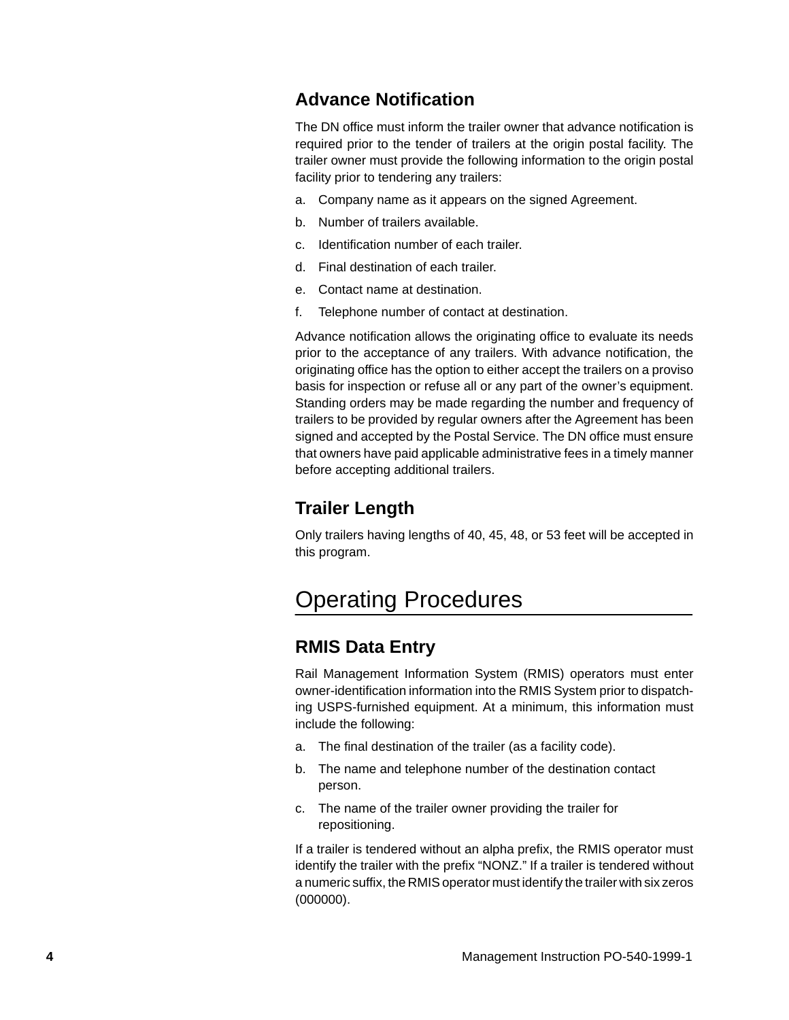### <span id="page-3-0"></span>**Advance Notification**

The DN office must inform the trailer owner that advance notification is required prior to the tender of trailers at the origin postal facility. The trailer owner must provide the following information to the origin postal facility prior to tendering any trailers:

- a. Company name as it appears on the signed Agreement.
- b. Number of trailers available.
- c. Identification number of each trailer.
- d. Final destination of each trailer.
- e. Contact name at destination.
- f. Telephone number of contact at destination.

Advance notification allows the originating office to evaluate its needs prior to the acceptance of any trailers. With advance notification, the originating office has the option to either accept the trailers on a proviso basis for inspection or refuse all or any part of the owner's equipment. Standing orders may be made regarding the number and frequency of trailers to be provided by regular owners after the Agreement has been signed and accepted by the Postal Service. The DN office must ensure that owners have paid applicable administrative fees in a timely manner before accepting additional trailers.

### **Trailer Length**

Only trailers having lengths of 40, 45, 48, or 53 feet will be accepted in this program.

### Operating Procedures

### **RMIS Data Entry**

Rail Management Information System (RMIS) operators must enter owner-identification information into the RMIS System prior to dispatching USPS-furnished equipment. At a minimum, this information must include the following:

- a. The final destination of the trailer (as a facility code).
- b. The name and telephone number of the destination contact person.
- c. The name of the trailer owner providing the trailer for repositioning.

If a trailer is tendered without an alpha prefix, the RMIS operator must identify the trailer with the prefix "NONZ." If a trailer is tendered without a numeric suffix, the RMIS operator must identify the trailer with six zeros  $(000000)$ .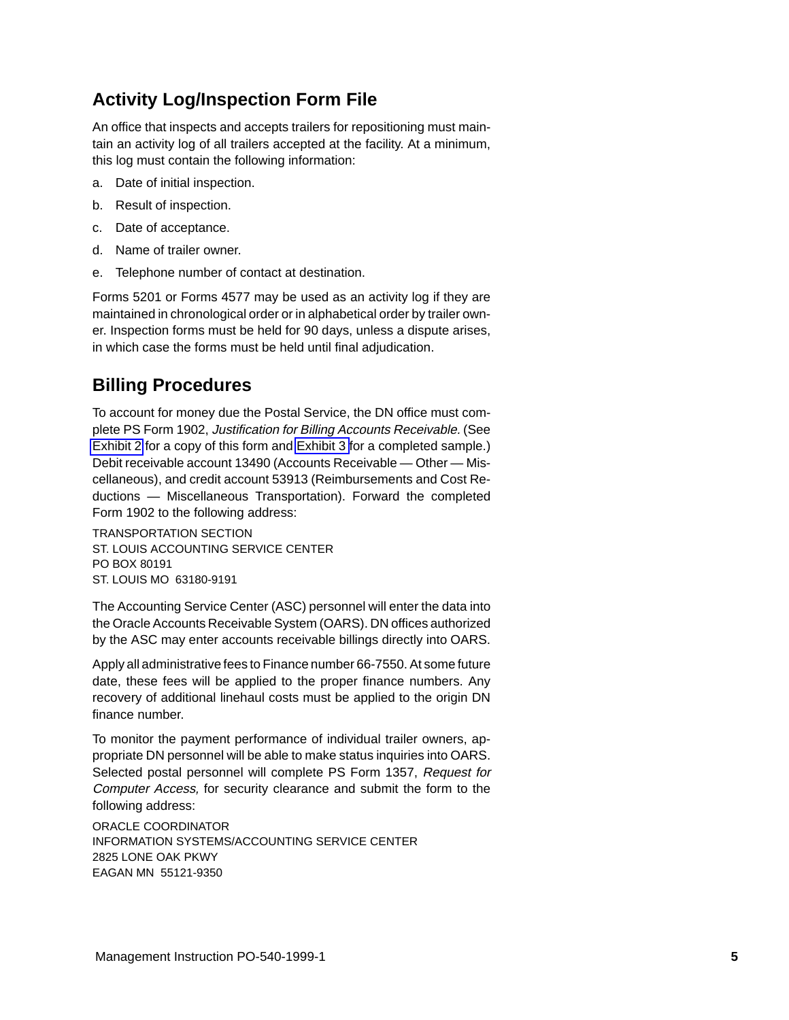### <span id="page-4-0"></span>**Activity Log/Inspection Form File**

An office that inspects and accepts trailers for repositioning must maintain an activity log of all trailers accepted at the facility. At a minimum, this log must contain the following information:

- a. Date of initial inspection.
- b. Result of inspection.
- c. Date of acceptance.
- d. Name of trailer owner.
- e. Telephone number of contact at destination.

Forms 5201 or Forms 4577 may be used as an activity log if they are maintained in chronological order or in alphabetical order by trailer owner. Inspection forms must be held for 90 days, unless a dispute arises, in which case the forms must be held until final adjudication.

### **Billing Procedures**

To account for money due the Postal Service, the DN office must complete PS Form 1902, Justification for Billing Accounts Receivable. (See [Exhibit 2](#page-11-0) for a copy of this form and [Exhibit 3](#page-12-0) for a completed sample.) Debit receivable account 13490 (Accounts Receivable — Other — Miscellaneous), and credit account 53913 (Reimbursements and Cost Reductions — Miscellaneous Transportation). Forward the completed Form 1902 to the following address:

TRANSPORTATION SECTION ST. LOUIS ACCOUNTING SERVICE CENTER PO BOX 80191 ST. LOUIS MO 63180-9191

The Accounting Service Center (ASC) personnel will enter the data into the Oracle Accounts Receivable System (OARS). DN offices authorized by the ASC may enter accounts receivable billings directly into OARS.

Apply all administrative fees to Finance number 66-7550. At some future date, these fees will be applied to the proper finance numbers. Any recovery of additional linehaul costs must be applied to the origin DN finance number.

To monitor the payment performance of individual trailer owners, appropriate DN personnel will be able to make status inquiries into OARS. Selected postal personnel will complete PS Form 1357, Request for Computer Access, for security clearance and submit the form to the following address:

ORACLE COORDINATOR INFORMATION SYSTEMS/ACCOUNTING SERVICE CENTER 2825 LONE OAK PKWY EAGAN MN 55121-9350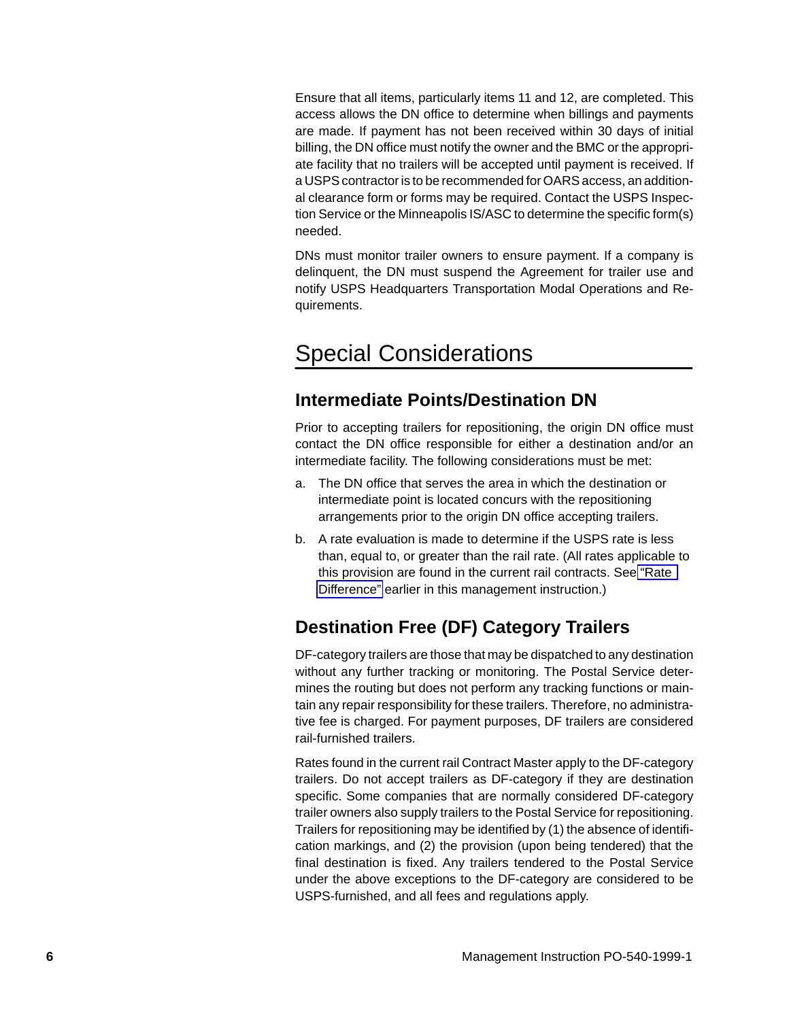<span id="page-5-0"></span>Ensure that all items, particularly items 11 and 12, are completed. This access allows the DN office to determine when billings and payments are made. If payment has not been received within 30 days of initial billing, the DN office must notify the owner and the BMC or the appropriate facility that no trailers will be accepted until payment is received. If a USPS contractor is to be recommended for OARS access, an additional clearance form or forms may be required. Contact the USPS Inspection Service or the Minneapolis IS/ASC to determine the specific form(s) needed.

DNs must monitor trailer owners to ensure payment. If a company is delinquent, the DN must suspend the Agreement for trailer use and notify USPS Headquarters Transportation Modal Operations and Requirements.

### Special Considerations

### **Intermediate Points/Destination DN**

Prior to accepting trailers for repositioning, the origin DN office must contact the DN office responsible for either a destination and/or an intermediate facility. The following considerations must be met:

- a. The DN office that serves the area in which the destination or intermediate point is located concurs with the repositioning arrangements prior to the origin DN office accepting trailers.
- b. A rate evaluation is made to determine if the USPS rate is less than, equal to, or greater than the rail rate. (All rates applicable to this provision are found in the current rail contracts. See ["Rate](#page-1-0) [Difference"](#page-1-0) earlier in this management instruction.)

### **Destination Free (DF) Category Trailers**

DF-category trailers are those that may be dispatched to any destination without any further tracking or monitoring. The Postal Service determines the routing but does not perform any tracking functions or maintain any repair responsibility for these trailers. Therefore, no administrative fee is charged. For payment purposes, DF trailers are considered rail-furnished trailers.

Rates found in the current rail Contract Master apply to the DF-category trailers. Do not accept trailers as DF-category if they are destination specific. Some companies that are normally considered DF-category trailer owners also supply trailers to the Postal Service for repositioning. Trailers for repositioning may be identified by (1) the absence of identification markings, and (2) the provision (upon being tendered) that the final destination is fixed. Any trailers tendered to the Postal Service under the above exceptions to the DF-category are considered to be USPS-furnished, and all fees and regulations apply.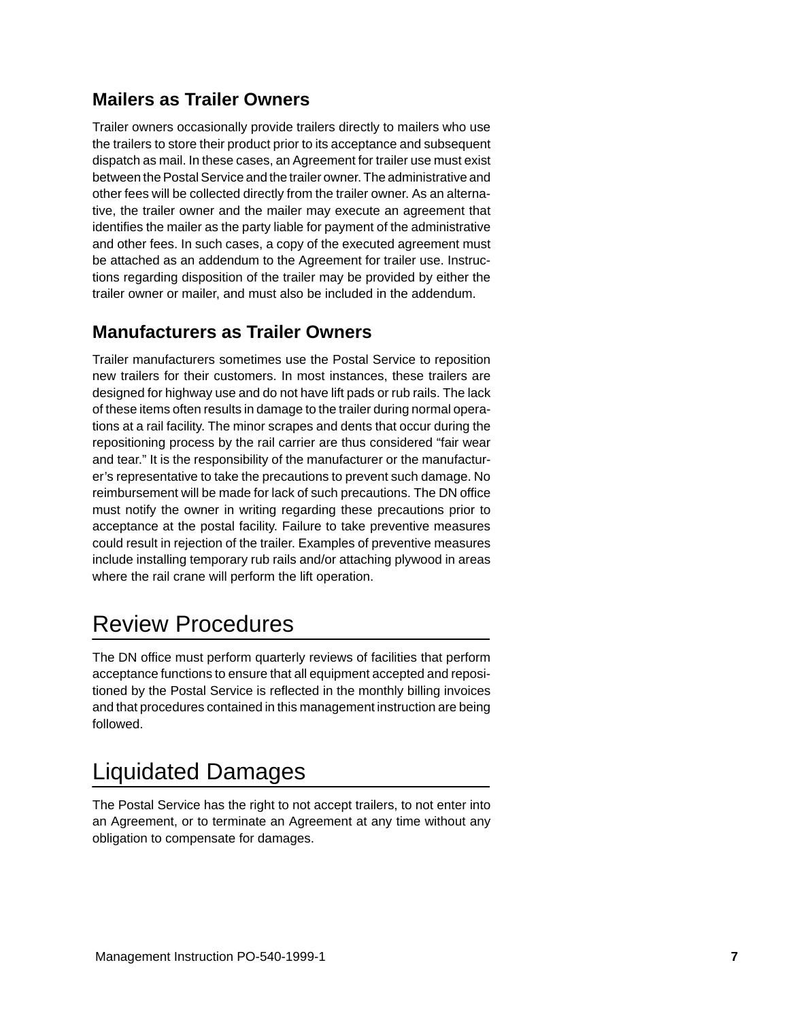### <span id="page-6-0"></span>**Mailers as Trailer Owners**

Trailer owners occasionally provide trailers directly to mailers who use the trailers to store their product prior to its acceptance and subsequent dispatch as mail. In these cases, an Agreement for trailer use must exist between the Postal Service and the trailer owner. The administrative and other fees will be collected directly from the trailer owner. As an alternative, the trailer owner and the mailer may execute an agreement that identifies the mailer as the party liable for payment of the administrative and other fees. In such cases, a copy of the executed agreement must be attached as an addendum to the Agreement for trailer use. Instructions regarding disposition of the trailer may be provided by either the trailer owner or mailer, and must also be included in the addendum.

### **Manufacturers as Trailer Owners**

Trailer manufacturers sometimes use the Postal Service to reposition new trailers for their customers. In most instances, these trailers are designed for highway use and do not have lift pads or rub rails. The lack of these items often results in damage to the trailer during normal operations at a rail facility. The minor scrapes and dents that occur during the repositioning process by the rail carrier are thus considered "fair wear and tear." It is the responsibility of the manufacturer or the manufacturer's representative to take the precautions to prevent such damage. No reimbursement will be made for lack of such precautions. The DN office must notify the owner in writing regarding these precautions prior to acceptance at the postal facility. Failure to take preventive measures could result in rejection of the trailer. Examples of preventive measures include installing temporary rub rails and/or attaching plywood in areas where the rail crane will perform the lift operation.

### Review Procedures

The DN office must perform quarterly reviews of facilities that perform acceptance functions to ensure that all equipment accepted and repositioned by the Postal Service is reflected in the monthly billing invoices and that procedures contained in this management instruction are being followed.

### Liquidated Damages

The Postal Service has the right to not accept trailers, to not enter into an Agreement, or to terminate an Agreement at any time without any obligation to compensate for damages.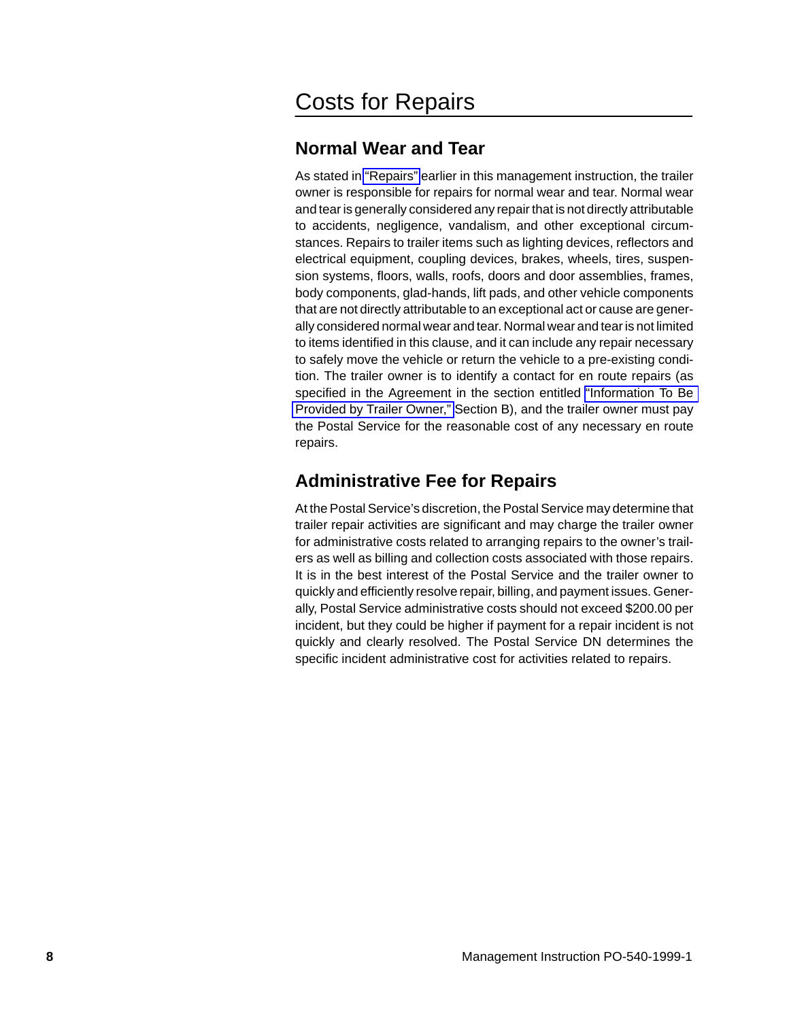### <span id="page-7-0"></span>Costs for Repairs

### **Normal Wear and Tear**

As stated in ["Repairs"](#page-2-0) earlier in this management instruction, the trailer owner is responsible for repairs for normal wear and tear. Normal wear and tear is generally considered any repair that is not directly attributable to accidents, negligence, vandalism, and other exceptional circumstances. Repairs to trailer items such as lighting devices, reflectors and electrical equipment, coupling devices, brakes, wheels, tires, suspension systems, floors, walls, roofs, doors and door assemblies, frames, body components, glad-hands, lift pads, and other vehicle components that are not directly attributable to an exceptional act or cause are generally considered normal wear and tear. Normal wear and tear is not limited to items identified in this clause, and it can include any repair necessary to safely move the vehicle or return the vehicle to a pre-existing condition. The trailer owner is to identify a contact for en route repairs (as specified in the Agreement in the section entitled ["Information To Be](#page-10-0) [Provided by Trailer Owner,"](#page-10-0) Section B), and the trailer owner must pay the Postal Service for the reasonable cost of any necessary en route repairs.

### **Administrative Fee for Repairs**

At the Postal Service's discretion, the Postal Service may determine that trailer repair activities are significant and may charge the trailer owner for administrative costs related to arranging repairs to the owner's trailers as well as billing and collection costs associated with those repairs. It is in the best interest of the Postal Service and the trailer owner to quickly and efficiently resolve repair, billing, and payment issues. Generally, Postal Service administrative costs should not exceed \$200.00 per incident, but they could be higher if payment for a repair incident is not quickly and clearly resolved. The Postal Service DN determines the specific incident administrative cost for activities related to repairs.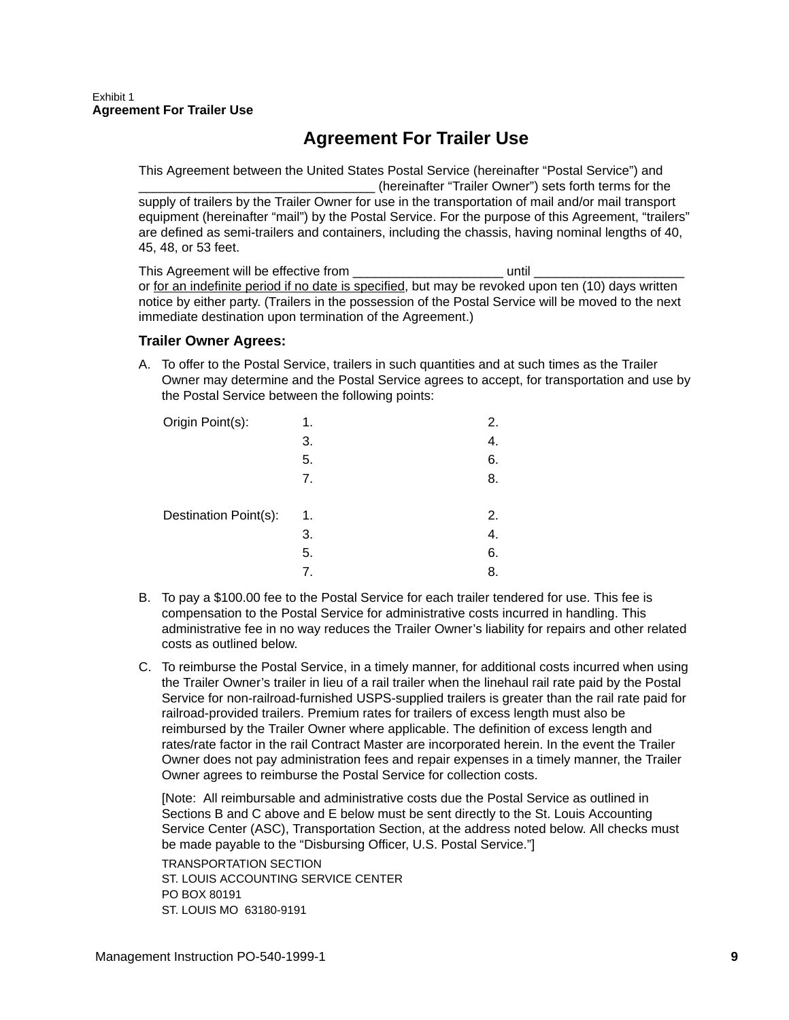### **Agreement For Trailer Use**

<span id="page-8-0"></span>This Agreement between the United States Postal Service (hereinafter "Postal Service") and (hereinafter "Trailer Owner") sets forth terms for the supply of trailers by the Trailer Owner for use in the transportation of mail and/or mail transport equipment (hereinafter "mail") by the Postal Service. For the purpose of this Agreement, "trailers" are defined as semi-trailers and containers, including the chassis, having nominal lengths of 40, 45, 48, or 53 feet.

This Agreement will be effective from **Example 20** and the until  $\blacksquare$ or for an indefinite period if no date is specified, but may be revoked upon ten (10) days written notice by either party. (Trailers in the possession of the Postal Service will be moved to the next immediate destination upon termination of the Agreement.)

#### **Trailer Owner Agrees:**

A. To offer to the Postal Service, trailers in such quantities and at such times as the Trailer Owner may determine and the Postal Service agrees to accept, for transportation and use by the Postal Service between the following points:

| Origin Point(s):      | 1. | 2. |
|-----------------------|----|----|
|                       | 3. | 4. |
|                       | 5. | 6. |
|                       | 7. | 8. |
|                       |    |    |
| Destination Point(s): | 1. | 2. |
|                       | 3. | 4. |
|                       | 5. | 6. |
|                       | 7. | 8. |

- B. To pay a \$100.00 fee to the Postal Service for each trailer tendered for use. This fee is compensation to the Postal Service for administrative costs incurred in handling. This administrative fee in no way reduces the Trailer Owner's liability for repairs and other related costs as outlined below.
- C. To reimburse the Postal Service, in a timely manner, for additional costs incurred when using the Trailer Owner's trailer in lieu of a rail trailer when the linehaul rail rate paid by the Postal Service for non-railroad-furnished USPS-supplied trailers is greater than the rail rate paid for railroad-provided trailers. Premium rates for trailers of excess length must also be reimbursed by the Trailer Owner where applicable. The definition of excess length and rates/rate factor in the rail Contract Master are incorporated herein. In the event the Trailer Owner does not pay administration fees and repair expenses in a timely manner, the Trailer Owner agrees to reimburse the Postal Service for collection costs.

[Note: All reimbursable and administrative costs due the Postal Service as outlined in Sections B and C above and E below must be sent directly to the St. Louis Accounting Service Center (ASC), Transportation Section, at the address noted below. All checks must be made payable to the "Disbursing Officer, U.S. Postal Service."] TRANSPORTATION SECTION ST. LOUIS ACCOUNTING SERVICE CENTER PO BOX 80191 ST. LOUIS MO 63180-9191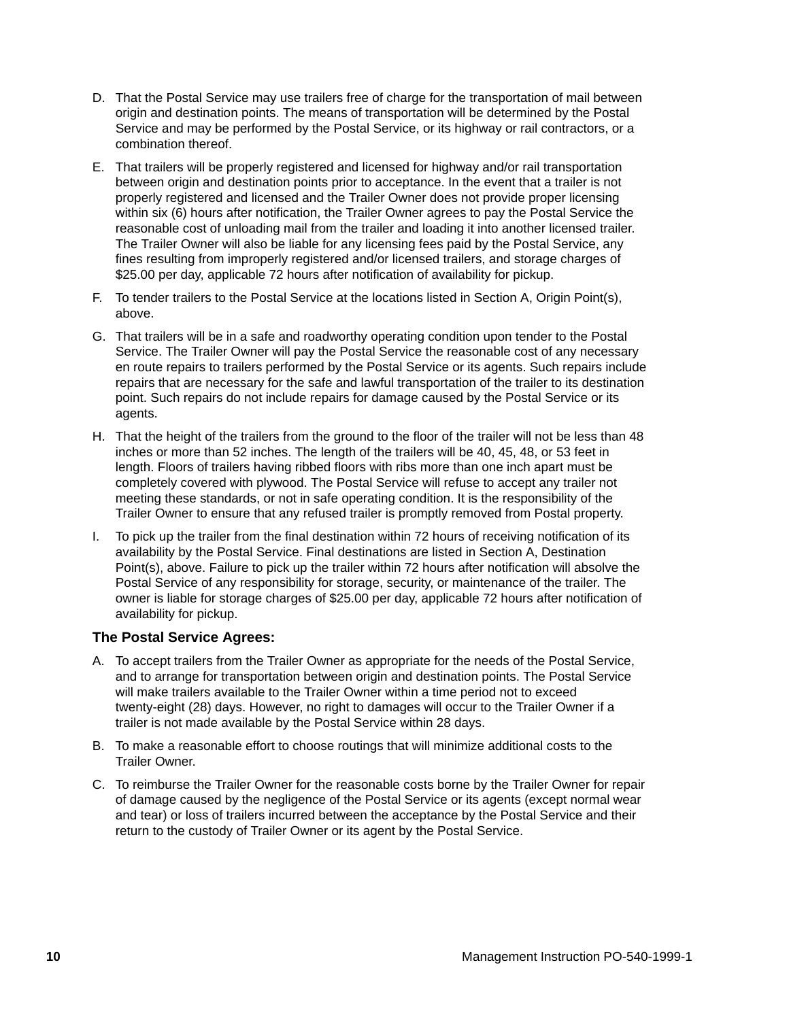- D. That the Postal Service may use trailers free of charge for the transportation of mail between origin and destination points. The means of transportation will be determined by the Postal Service and may be performed by the Postal Service, or its highway or rail contractors, or a combination thereof.
- E. That trailers will be properly registered and licensed for highway and/or rail transportation between origin and destination points prior to acceptance. In the event that a trailer is not properly registered and licensed and the Trailer Owner does not provide proper licensing within six (6) hours after notification, the Trailer Owner agrees to pay the Postal Service the reasonable cost of unloading mail from the trailer and loading it into another licensed trailer. The Trailer Owner will also be liable for any licensing fees paid by the Postal Service, any fines resulting from improperly registered and/or licensed trailers, and storage charges of \$25.00 per day, applicable 72 hours after notification of availability for pickup.
- F. To tender trailers to the Postal Service at the locations listed in Section A, Origin Point(s), above.
- G. That trailers will be in a safe and roadworthy operating condition upon tender to the Postal Service. The Trailer Owner will pay the Postal Service the reasonable cost of any necessary en route repairs to trailers performed by the Postal Service or its agents. Such repairs include repairs that are necessary for the safe and lawful transportation of the trailer to its destination point. Such repairs do not include repairs for damage caused by the Postal Service or its agents.
- H. That the height of the trailers from the ground to the floor of the trailer will not be less than 48 inches or more than 52 inches. The length of the trailers will be 40, 45, 48, or 53 feet in length. Floors of trailers having ribbed floors with ribs more than one inch apart must be completely covered with plywood. The Postal Service will refuse to accept any trailer not meeting these standards, or not in safe operating condition. It is the responsibility of the Trailer Owner to ensure that any refused trailer is promptly removed from Postal property.
- I. To pick up the trailer from the final destination within 72 hours of receiving notification of its availability by the Postal Service. Final destinations are listed in Section A, Destination Point(s), above. Failure to pick up the trailer within 72 hours after notification will absolve the Postal Service of any responsibility for storage, security, or maintenance of the trailer. The owner is liable for storage charges of \$25.00 per day, applicable 72 hours after notification of availability for pickup.

#### **The Postal Service Agrees:**

- A. To accept trailers from the Trailer Owner as appropriate for the needs of the Postal Service, and to arrange for transportation between origin and destination points. The Postal Service will make trailers available to the Trailer Owner within a time period not to exceed twenty-eight (28) days. However, no right to damages will occur to the Trailer Owner if a trailer is not made available by the Postal Service within 28 days.
- B. To make a reasonable effort to choose routings that will minimize additional costs to the Trailer Owner.
- C. To reimburse the Trailer Owner for the reasonable costs borne by the Trailer Owner for repair of damage caused by the negligence of the Postal Service or its agents (except normal wear and tear) or loss of trailers incurred between the acceptance by the Postal Service and their return to the custody of Trailer Owner or its agent by the Postal Service.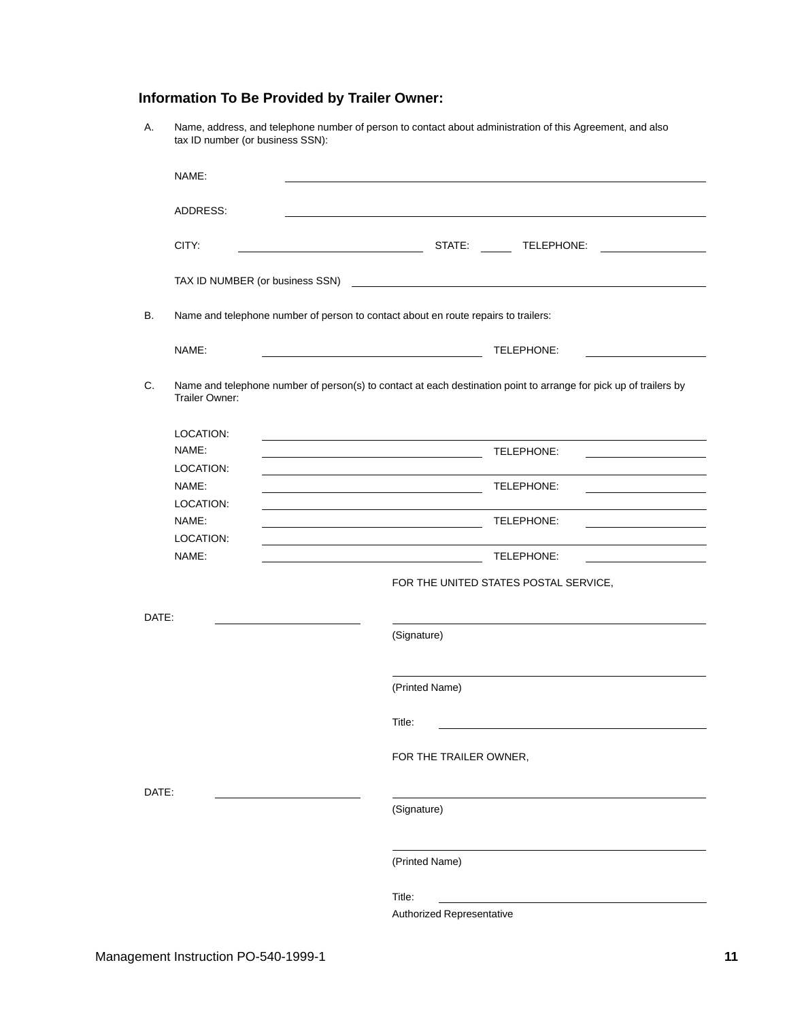#### <span id="page-10-0"></span>**Information To Be Provided by Trailer Owner:**

| А.        | tax ID number (or business SSN): | Name, address, and telephone number of person to contact about administration of this Agreement, and also             |
|-----------|----------------------------------|-----------------------------------------------------------------------------------------------------------------------|
|           | NAME:                            |                                                                                                                       |
|           | ADDRESS:                         |                                                                                                                       |
|           | CITY:                            | STATE:<br>TELEPHONE:                                                                                                  |
|           | TAX ID NUMBER (or business SSN)  | <u> 1989 - Johann Stein, mars an de Francisco Barbara, march e compositor de la provincia de la provincia de la p</u> |
| <b>B.</b> |                                  | Name and telephone number of person to contact about en route repairs to trailers:                                    |
|           | NAME:                            | TELEPHONE:                                                                                                            |
| C.        | Trailer Owner:                   | Name and telephone number of person(s) to contact at each destination point to arrange for pick up of trailers by     |
|           | LOCATION:<br>NAME:<br>LOCATION:  | TELEPHONE:                                                                                                            |
|           | NAME:<br>LOCATION:               | TELEPHONE:                                                                                                            |
|           | NAME:<br>LOCATION:               | TELEPHONE:                                                                                                            |
|           | NAME:                            | TELEPHONE:                                                                                                            |
|           |                                  | FOR THE UNITED STATES POSTAL SERVICE,                                                                                 |
| DATE:     |                                  | (Signature)                                                                                                           |
|           |                                  | (Printed Name)                                                                                                        |
|           |                                  | Title:                                                                                                                |
|           |                                  | FOR THE TRAILER OWNER,                                                                                                |
| DATE:     |                                  | (Signature)                                                                                                           |
|           |                                  | (Printed Name)                                                                                                        |
|           |                                  | Title:<br>Authorized Representative                                                                                   |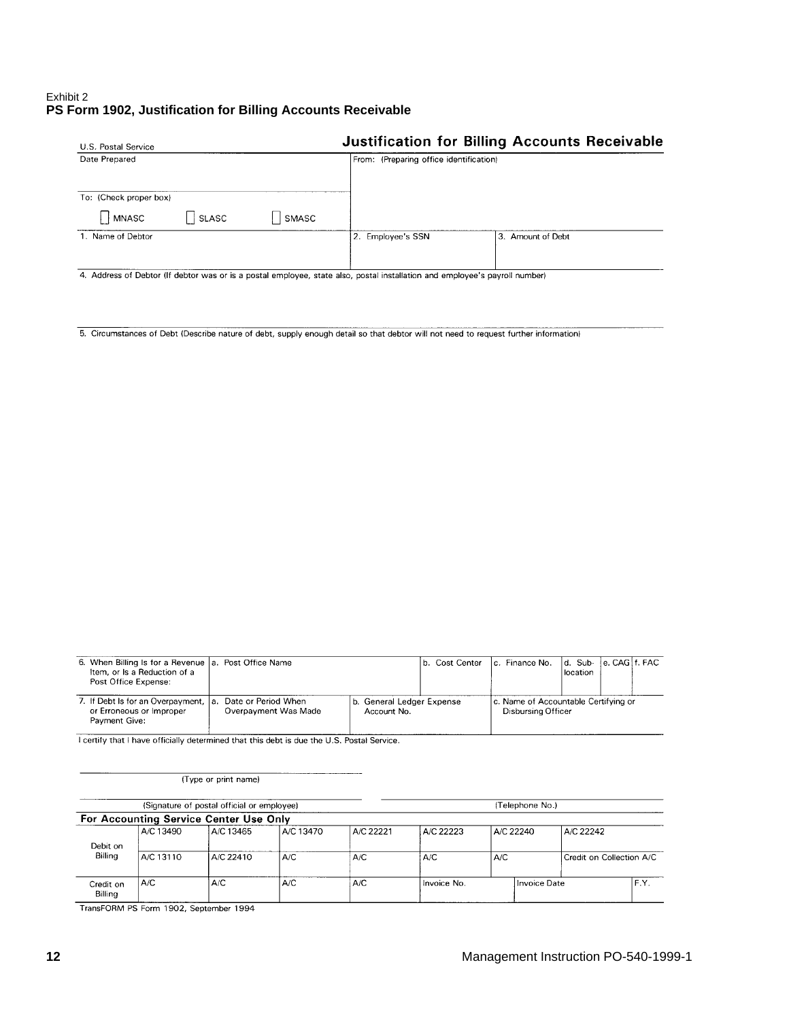#### <span id="page-11-0"></span>Exhibit 2 **PS Form 1902, Justification for Billing Accounts Receivable**

| U.S. Postal Service    |         |       |                                         | <b>Justification for Billing Accounts Receivable</b> |
|------------------------|---------|-------|-----------------------------------------|------------------------------------------------------|
| Date Prepared          |         |       | From: (Preparing office identification) |                                                      |
| To: (Check proper box) |         |       |                                         |                                                      |
| <b>MNASC</b>           | '∣SLASC | SMASC |                                         |                                                      |
| 1. Name of Debtor      |         |       | 2 Employee's SSN                        | 3. Amount of Debt                                    |
|                        |         |       |                                         |                                                      |

4. Address of Debtor (If debtor was or is a postal employee, state also, postal installation and employee's payroll number)

5. Circumstances of Debt (Describe nature of debt, supply enough detail so that debtor will not need to request further information)

| 6. When Billing Is for a Revenue   a. Post Office Name<br>Item, or Is a Reduction of a<br>Post Office Expense: |                                             |                                          | b. Cost Center | Ic. Finance No.                                                   | Id. Sub-<br>location | le, CAGI f. FAC |  |
|----------------------------------------------------------------------------------------------------------------|---------------------------------------------|------------------------------------------|----------------|-------------------------------------------------------------------|----------------------|-----------------|--|
| 7. If Debt Is for an Overpayment,   a.<br>or Erroneous or Improper<br>Payment Give:                            | Date or Period When<br>Overpayment Was Made | b. General Ledger Expense<br>Account No. |                | c. Name of Accountable Certifying or<br><b>Disbursing Officer</b> |                      |                 |  |

I certify that I have officially determined that this debt is due the U.S. Postal Service.

(Type or print name)

|                      | (Signature of postal official or employee) |                                        |           |           |             | (Telephone No.) |              |                          |      |  |
|----------------------|--------------------------------------------|----------------------------------------|-----------|-----------|-------------|-----------------|--------------|--------------------------|------|--|
|                      |                                            | For Accounting Service Center Use Only |           |           |             |                 |              |                          |      |  |
|                      | A/C 13490                                  | A/C 13465                              | A/C 13470 | A/C 22221 | A/C 22223   |                 | A/C 22240    | A/C 22242                |      |  |
| Debit on             |                                            |                                        |           |           |             |                 |              |                          |      |  |
| Billing              | LA/C 13110<br>A/C 22410                    |                                        | A/C       | A/C       | A/C         | A/C             |              | Credit on Collection A/C |      |  |
| Credit on<br>Billing | A/C                                        | A/C                                    | A/C       | A/C       | Invoice No. |                 | Invoice Date |                          | F.Y. |  |

TransFORM PS Form 1902, September 1994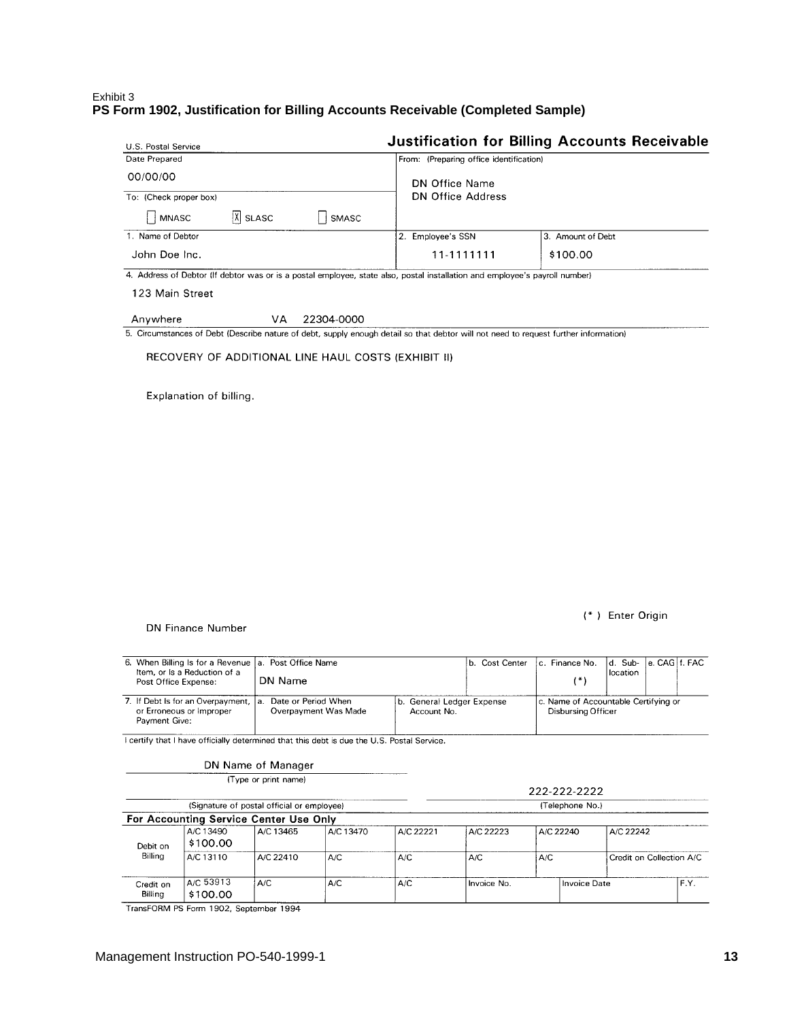#### <span id="page-12-0"></span>Exhibit 3 **PS Form 1902, Justification for Billing Accounts Receivable (Completed Sample)**

| U.S. Postal Service                           |                                         | <b>Justification for Billing Accounts Receivable</b> |  |  |  |  |
|-----------------------------------------------|-----------------------------------------|------------------------------------------------------|--|--|--|--|
| Date Prepared                                 | From: (Preparing office identification) |                                                      |  |  |  |  |
| 00/00/00                                      | DN Office Name                          |                                                      |  |  |  |  |
| To: (Check proper box)                        | <b>DN Office Address</b>                |                                                      |  |  |  |  |
| $ \mathsf{X} $ SLASC<br><b>MNASC</b><br>SMASC |                                         |                                                      |  |  |  |  |
| 1. Name of Debtor                             | 2. Employee's SSN                       | 3. Amount of Debt                                    |  |  |  |  |
| John Doe Inc.                                 | 11-1111111                              | \$100.00                                             |  |  |  |  |

4. Address of Debtor (If debtor was or is a postal employee, state also, postal installation and employee's payroll number)

123 Main Street

#### Anywhere VA 22304-0000

5. Circumstances of Debt (Describe nature of debt, supply enough detail so that debtor will not need to request further information)

RECOVERY OF ADDITIONAL LINE HAUL COSTS (EXHIBIT II)

Explanation of billing.

(\*) Enter Origin

DN Finance Number

| Item, or Is a Reduction of a<br>Post Office Expense:                           |                                                    | 6. When Billing Is for a Revenue   a. Post Office Name<br>b. Cost Center                                      |    |  | location |  |
|--------------------------------------------------------------------------------|----------------------------------------------------|---------------------------------------------------------------------------------------------------------------|----|--|----------|--|
|                                                                                | DN Name                                            |                                                                                                               | 1* |  |          |  |
| 7. If Debt is for an Overpayment,<br>or Erroneous or Improper<br>Payment Give: | Date or Period When<br>la.<br>Overpayment Was Made | b. General Ledger Expense<br>c. Name of Accountable Certifying or<br><b>Disbursing Officer</b><br>Account No. |    |  |          |  |

I certify that I have officially determined that this debt is due the U.S. Postal Service.

|                      |                                                                                     | DN Name of Manager                         |           |           |             |                     |           |                          |
|----------------------|-------------------------------------------------------------------------------------|--------------------------------------------|-----------|-----------|-------------|---------------------|-----------|--------------------------|
|                      |                                                                                     | (Type or print name)                       |           |           |             | 222-222-2222        |           |                          |
|                      |                                                                                     | (Signature of postal official or employee) |           |           |             | (Telephone No.)     |           |                          |
|                      |                                                                                     | For Accounting Service Center Use Only     |           |           |             |                     |           |                          |
| Debit on<br>Billing  | A/C 13490<br>\$100.00                                                               | A/C 13465                                  | A/C 13470 | A/C 22221 | A/C 22223   | A/C 22240           | A/C 22242 |                          |
|                      | A/C 13110                                                                           | A/C 22410                                  | A/C       | A/C       | A/C         | A/C                 |           | Credit on Collection A/C |
| Credit on<br>Billing | A/C 53913<br>\$100.00                                                               | A/C                                        | A/C       | A/C       | Invoice No. | <b>Invoice Date</b> |           | F.Y.                     |
|                      | $T_{\text{total}}$ $FOMA$ BC $F_{\text{total}}$ 4000 $C_{\text{total}}$ $\sim$ 4004 |                                            |           |           |             |                     |           |                          |

TransFORM PS Form 1902, September 1994